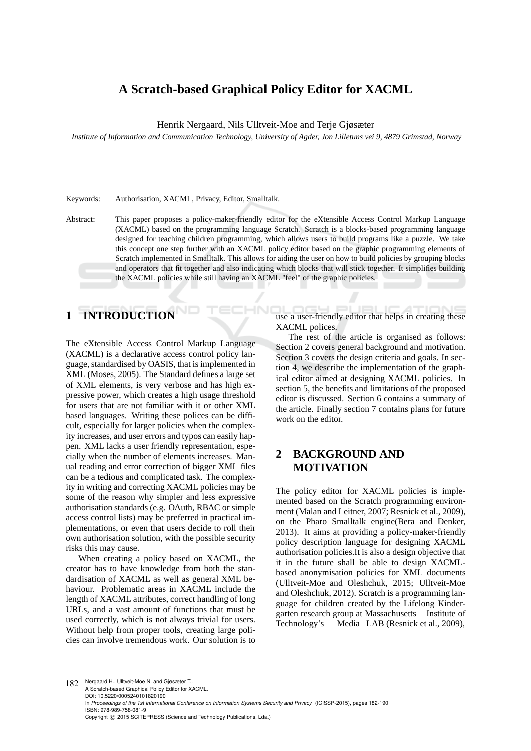## **A Scratch-based Graphical Policy Editor for XACML**

Henrik Nergaard, Nils Ulltveit-Moe and Terje Gjøsæter

*Institute of Information and Communication Technology, University of Agder, Jon Lilletuns vei 9, 4879 Grimstad, Norway*

Keywords: Authorisation, XACML, Privacy, Editor, Smalltalk.

Abstract: This paper proposes a policy-maker-friendly editor for the eXtensible Access Control Markup Language (XACML) based on the programming language Scratch. Scratch is a blocks-based programming language designed for teaching children programming, which allows users to build programs like a puzzle. We take this concept one step further with an XACML policy editor based on the graphic programming elements of Scratch implemented in Smalltalk. This allows for aiding the user on how to build policies by grouping blocks and operators that fit together and also indicating which blocks that will stick together. It simplifies building the XACML policies while still having an XACML "feel" of the graphic policies.

# **1 INTRODUCTION**

The eXtensible Access Control Markup Language (XACML) is a declarative access control policy language, standardised by OASIS, that is implemented in XML (Moses, 2005). The Standard defines a large set of XML elements, is very verbose and has high expressive power, which creates a high usage threshold for users that are not familiar with it or other XML based languages. Writing these polices can be difficult, especially for larger policies when the complexity increases, and user errors and typos can easily happen. XML lacks a user friendly representation, especially when the number of elements increases. Manual reading and error correction of bigger XML files can be a tedious and complicated task. The complexity in writing and correcting XACML policies may be some of the reason why simpler and less expressive authorisation standards (e.g. OAuth, RBAC or simple access control lists) may be preferred in practical implementations, or even that users decide to roll their own authorisation solution, with the possible security risks this may cause.

When creating a policy based on XACML, the creator has to have knowledge from both the standardisation of XACML as well as general XML behaviour. Problematic areas in XACML include the length of XACML attributes, correct handling of long URLs, and a vast amount of functions that must be used correctly, which is not always trivial for users. Without help from proper tools, creating large policies can involve tremendous work. Our solution is to use a user-friendly editor that helps in creating these XACML polices.

The rest of the article is organised as follows: Section 2 covers general background and motivation. Section 3 covers the design criteria and goals. In section 4, we describe the implementation of the graphical editor aimed at designing XACML policies. In section 5, the benefits and limitations of the proposed editor is discussed. Section 6 contains a summary of the article. Finally section 7 contains plans for future work on the editor.

## **2 BACKGROUND AND MOTIVATION**

The policy editor for XACML policies is implemented based on the Scratch programming environment (Malan and Leitner, 2007; Resnick et al., 2009), on the Pharo Smalltalk engine(Bera and Denker, 2013). It aims at providing a policy-maker-friendly policy description language for designing XACML authorisation policies.It is also a design objective that it in the future shall be able to design XACMLbased anonymisation policies for XML documents (Ulltveit-Moe and Oleshchuk, 2015; Ulltveit-Moe and Oleshchuk, 2012). Scratch is a programming language for children created by the Lifelong Kindergarten research group at Massachusetts Institute of Technology's Media LAB (Resnick et al., 2009),

182 Nergaard H., Ulltveit-Moe N. and Gjøsæter T.. A Scratch-based Graphical Policy Editor for XACML. DOI: 10.5220/0005240101820190 In *Proceedings of the 1st International Conference on Information Systems Security and Privacy* (ICISSP-2015), pages 182-190 ISBN: 978-989-758-081-9 Copyright © 2015 SCITEPRESS (Science and Technology Publications, Lda.)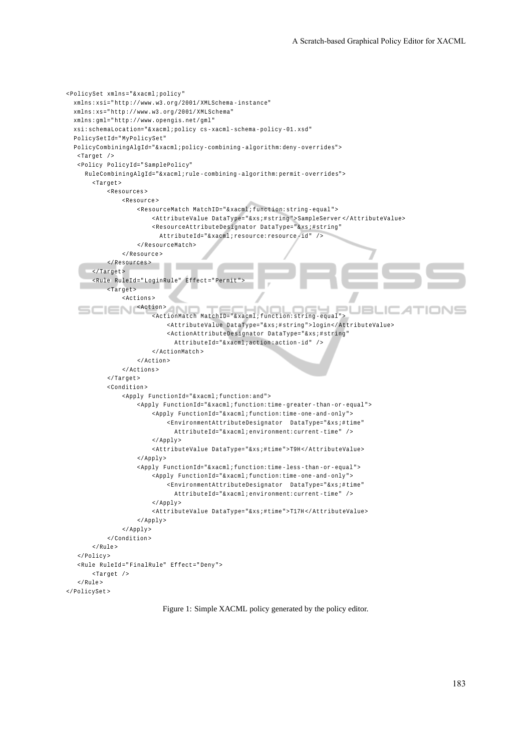```
< PolicySet xmlns ="& xacml ; policy "
  xmlns : xsi =" http :// www . w3. org /2001/ XMLSchema - instance"
  xmlns : xs =" http :// www. w3 . org /2001/ XMLSchema"
  xmlns : gml =" http :// www . opengis. net/ gml "
  xsi: schemaLocation="& xacml ; policy cs - xacml - schema - policy -01. xsd"
  PolicySetId=" MyPolicySet"
  PolicyCombiningAlgId="& xacml ; policy - combining - algorithm: deny - overrides">
   < Target />
   < Policy PolicyId=" SamplePolicy"
     RuleCombiningAlgId="& xacml ;rule - combining - algorithm: permit - overrides">
        <Target >
            < Resources >
                <Resource >
                     < ResourceMatch MatchID="& xacml ; function: string - equal">
                          < AttributeValue DataType="& xs ;# string "> SampleServer </ AttributeValue>
                          < ResourceAttributeDesignator DataType="& xs ;# string "
                            AttributeId="& xacml ; resource: resource -id " />
                     </ ResourceMatch>
                 </ Resource >
            </ Resources >
                                 ٠
        </ Target >
        <Rule RuleId =" LoginRule" Effect =" Permit ">
            < Target >
                 <Actions >
    SCIEN<sup>(Action</sup>)
                          ACTION <ActionMatch MatchID="&xacml;function:string-equal "> ATIONS
                               < AttributeValue DataType="& xs ;# string "> login </ AttributeValue>
                               < ActionAttributeDesignator DataType="& xs ;# string "
                                 AttributeId="& xacml ; action : action -id " />
                          </ ActionMatch >
                     </Action >
                 </ Actions >
            </Target >
            < Condition >
                 <Apply FunctionId="& xacml ; function: and">
                     < Apply FunctionId="& xacml ; function: time - greater - than -or - equal ">
                          <Apply FunctionId="& xacml ; function: time -one - and - only">
                               < EnvironmentAttributeDesignator DataType="& xs ;# time"
                                 AttributeId="& xacml ; environment: current - time " />
                          \langle Apply >
                          < AttributeValue DataType="& xs ;# time ">T9H </ AttributeValue>
                     </Apply >
                     < Apply FunctionId="& xacml ; function: time - less -than -or- equal ">
                          <Apply FunctionId="& xacml ; function: time -one - and - only">
                               < EnvironmentAttributeDesignator DataType="& xs ;# time"
                                 AttributeId="& xacml ; environment: current - time " />
                          </ Apply >
                          < AttributeValue DataType="& xs ;# time "> T17H </ AttributeValue>
                     \langle / Apply >\langle Apply >
            </ Condition >
        \epsilon/Rules
   </Policy >
   < Rule RuleId =" FinalRule" Effect =" Deny ">
       < Target />
   </Rule >
</ PolicySet >
```
Figure 1: Simple XACML policy generated by the policy editor.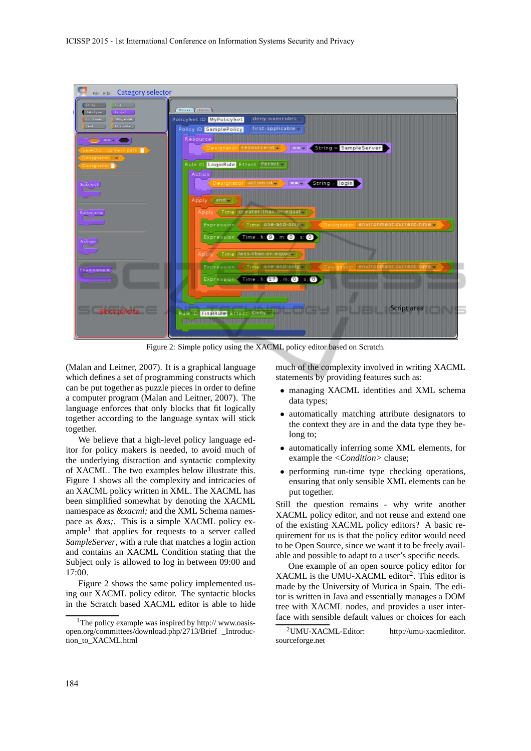| File Edit Category selector                          |                                                                          |
|------------------------------------------------------|--------------------------------------------------------------------------|
| <b>Bule</b><br>Policy                                | Blocks Y Xacmi                                                           |
| DataType<br>Target<br>Obligation<br><b>Functions</b> | deny-overrides<br>PolicySet ID MyPolicySet                               |
| Test<br>Attribute                                    | first-applicable<br>Policy ID SamplePolicy                               |
| $\bigcirc$ ==                                        | Resource                                                                 |
| Selector, context path.                              | String = SampleServer<br>Designator resource-id<br>$=$                   |
| Designator <mark>of</mark><br>Designator             | Rule ID LoginRule Effect Permit                                          |
|                                                      | Action                                                                   |
| Subject<br><b>CONTRACT</b>                           | String = login<br>Designator action-id -<br>$== \bullet$                 |
|                                                      | Apply (and                                                               |
| Resource                                             | Apply Time greater-than-or-equal -                                       |
|                                                      | Time one-and-only<br>Expression<br>Designator environment:current-time   |
|                                                      | Expression Time h: 0 m: 0 s: 0                                           |
| Action                                               |                                                                          |
|                                                      | Time less-than-or-equal-<br>Apply                                        |
| Environment                                          | Time one-and-only<br>Expression<br>Designator environment current-time - |
|                                                      | Time . h: 47 . m: 0 . s: 0<br><b>Expression</b>                          |
|                                                      | mmmr, annummum                                                           |
|                                                      | Script area                                                              |
| Block palette                                        | Alternative Production and Controlled                                    |
|                                                      |                                                                          |
|                                                      |                                                                          |

Figure 2: Simple policy using the XACML policy editor based on Scratch.

(Malan and Leitner, 2007). It is a graphical language which defines a set of programming constructs which can be put together as puzzle pieces in order to define a computer program (Malan and Leitner, 2007). The language enforces that only blocks that fit logically together according to the language syntax will stick together.

We believe that a high-level policy language editor for policy makers is needed, to avoid much of the underlying distraction and syntactic complexity of XACML. The two examples below illustrate this. Figure 1 shows all the complexity and intricacies of an XACML policy written in XML. The XACML has been simplified somewhat by denoting the XACML namespace as *&xacml;* and the XML Schema namespace as *&xs;*. This is a simple XACML policy ex $ample<sup>1</sup>$  that applies for requests to a server called *SampleServer*, with a rule that matches a login action and contains an XACML Condition stating that the Subject only is allowed to log in between 09:00 and 17:00.

Figure 2 shows the same policy implemented using our XACML policy editor. The syntactic blocks in the Scratch based XACML editor is able to hide much of the complexity involved in writing XACML statements by providing features such as:

- managing XACML identities and XML schema data types;
- automatically matching attribute designators to the context they are in and the data type they belong to;
- automatically inferring some XML elements, for example the *<Condition>* clause;
- performing run-time type checking operations, ensuring that only sensible XML elements can be put together.

Still the question remains - why write another XACML policy editor, and not reuse and extend one of the existing XACML policy editors? A basic requirement for us is that the policy editor would need to be Open Source, since we want it to be freely available and possible to adapt to a user's specific needs.

One example of an open source policy editor for XACML is the UMU-XACML editor<sup>2</sup>. This editor is made by the University of Murica in Spain. The editor is written in Java and essentially manages a DOM tree with XACML nodes, and provides a user interface with sensible default values or choices for each

<sup>&</sup>lt;sup>1</sup>The policy example was inspired by http:// www.oasisopen.org/committees/download.php/2713/Brief \_Introduction\_to\_XACML.html

<sup>2</sup>UMU-XACML-Editor: http://umu-xacmleditor. sourceforge.net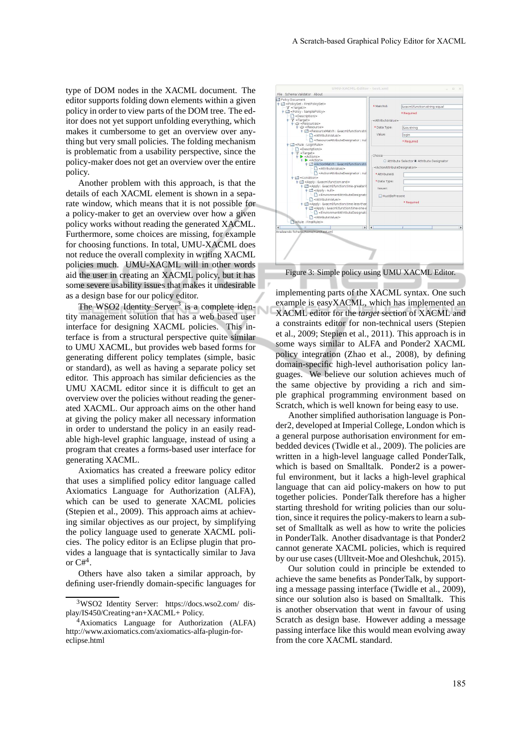type of DOM nodes in the XACML document. The editor supports folding down elements within a given policy in order to view parts of the DOM tree. The editor does not yet support unfolding everything, which makes it cumbersome to get an overview over anything but very small policies. The folding mechanism is problematic from a usability perspective, since the policy-maker does not get an overview over the entire

policy.

Another problem with this approach, is that the details of each XACML element is shown in a separate window, which means that it is not possible for a policy-maker to get an overview over how a given policy works without reading the generated XACML. Furthermore, some choices are missing, for example for choosing functions. In total, UMU-XACML does not reduce the overall complexity in writing XACML policies much. UMU-XACML will in other words aid the user in creating an XACML policy, but it has some severe usability issues that makes it undesirable as a design base for our policy editor.

The WSO2 Identity Server<sup>3</sup> is a complete identity management solution that has a web based user interface for designing XACML policies. This interface is from a structural perspective quite similar to UMU XACML, but provides web based forms for generating different policy templates (simple, basic or standard), as well as having a separate policy set editor. This approach has similar deficiencies as the UMU XACML editor since it is difficult to get an overview over the policies without reading the generated XACML. Our approach aims on the other hand at giving the policy maker all necessary information in order to understand the policy in an easily readable high-level graphic language, instead of using a program that creates a forms-based user interface for generating XACML.

Axiomatics has created a freeware policy editor that uses a simplified policy editor language called Axiomatics Language for Authorization (ALFA), which can be used to generate XACML policies (Stepien et al., 2009). This approach aims at achieving similar objectives as our project, by simplifying the policy language used to generate XACML policies. The policy editor is an Eclipse plugin that provides a language that is syntactically similar to Java or  $C#^4$ .

Others have also taken a similar approach, by defining user-friendly domain-specific languages for



Figure 3: Simple policy using UMU XACML Editor.

implementing parts of the XACML syntax. One such example is easyXACML, which has implemented an XACML editor for the *target* section of XACML and a constraints editor for non-technical users (Stepien et al., 2009; Stepien et al., 2011). This approach is in some ways similar to ALFA and Ponder2 XACML policy integration (Zhao et al., 2008), by defining domain-specific high-level authorisation policy languages. We believe our solution achieves much of the same objective by providing a rich and simple graphical programming environment based on Scratch, which is well known for being easy to use.

Another simplified authorisation language is Ponder2, developed at Imperial College, London which is a general purpose authorisation environment for embedded devices (Twidle et al., 2009). The policies are written in a high-level language called PonderTalk, which is based on Smalltalk. Ponder2 is a powerful environment, but it lacks a high-level graphical language that can aid policy-makers on how to put together policies. PonderTalk therefore has a higher starting threshold for writing policies than our solution, since it requires the policy-makers to learn a subset of Smalltalk as well as how to write the policies in PonderTalk. Another disadvantage is that Ponder2 cannot generate XACML policies, which is required by our use cases (Ulltveit-Moe and Oleshchuk, 2015).

Our solution could in principle be extended to achieve the same benefits as PonderTalk, by supporting a message passing interface (Twidle et al., 2009), since our solution also is based on Smalltalk. This is another observation that went in favour of using Scratch as design base. However adding a message passing interface like this would mean evolving away from the core XACML standard.

<sup>3</sup>WSO2 Identity Server: https://docs.wso2.com/ display/IS450/Creating+an+XACML+ Policy.

<sup>4</sup>Axiomatics Language for Authorization (ALFA) http://www.axiomatics.com/axiomatics-alfa-plugin-foreclipse.html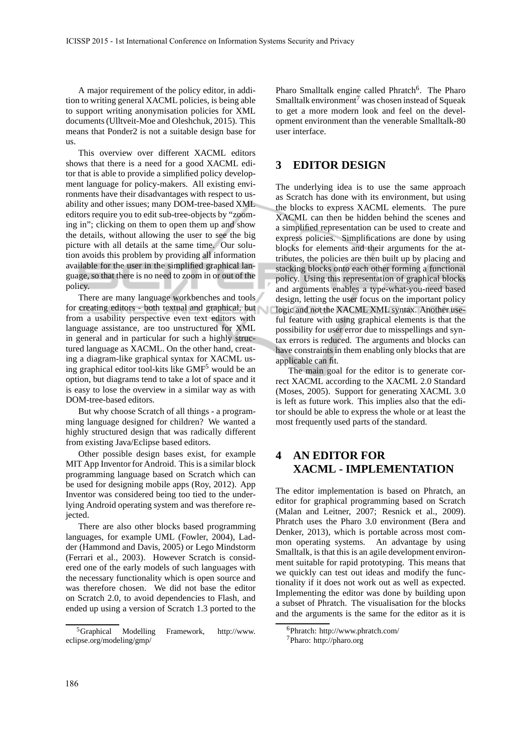A major requirement of the policy editor, in addition to writing general XACML policies, is being able to support writing anonymisation policies for XML documents (Ulltveit-Moe and Oleshchuk, 2015). This means that Ponder2 is not a suitable design base for us.

This overview over different XACML editors shows that there is a need for a good XACML editor that is able to provide a simplified policy development language for policy-makers. All existing environments have their disadvantages with respect to usability and other issues; many DOM-tree-based XML editors require you to edit sub-tree-objects by "zooming in"; clicking on them to open them up and show the details, without allowing the user to see the big picture with all details at the same time. Our solution avoids this problem by providing all information available for the user in the simplified graphical language, so that there is no need to zoom in or out of the policy.

There are many language workbenches and tools for creating editors - both textual and graphical, but from a usability perspective even text editors with language assistance, are too unstructured for XML in general and in particular for such a highly structured language as XACML. On the other hand, creating a diagram-like graphical syntax for XACML using graphical editor tool-kits like GMF<sup>5</sup> would be an option, but diagrams tend to take a lot of space and it is easy to lose the overview in a similar way as with DOM-tree-based editors.

But why choose Scratch of all things - a programming language designed for children? We wanted a highly structured design that was radically different from existing Java/Eclipse based editors.

Other possible design bases exist, for example MIT App Inventor for Android. This is a similar block programming language based on Scratch which can be used for designing mobile apps (Roy, 2012). App Inventor was considered being too tied to the underlying Android operating system and was therefore rejected.

There are also other blocks based programming languages, for example UML (Fowler, 2004), Ladder (Hammond and Davis, 2005) or Lego Mindstorm (Ferrari et al., 2003). However Scratch is considered one of the early models of such languages with the necessary functionality which is open source and was therefore chosen. We did not base the editor on Scratch 2.0, to avoid dependencies to Flash, and ended up using a version of Scratch 1.3 ported to the

Pharo Smalltalk engine called Phratch<sup>6</sup>. The Pharo Smalltalk environment<sup>7</sup> was chosen instead of Squeak to get a more modern look and feel on the development environment than the venerable Smalltalk-80 user interface.

## **3 EDITOR DESIGN**

The underlying idea is to use the same approach as Scratch has done with its environment, but using the blocks to express XACML elements. The pure XACML can then be hidden behind the scenes and a simplified representation can be used to create and express policies. Simplifications are done by using blocks for elements and their arguments for the attributes, the policies are then built up by placing and stacking blocks onto each other forming a functional policy. Using this representation of graphical blocks and arguments enables a type-what-you-need based design, letting the user focus on the important policy logic and not the XACML XML syntax. Another useful feature with using graphical elements is that the possibility for user error due to misspellings and syntax errors is reduced. The arguments and blocks can have constraints in them enabling only blocks that are applicable can fit.

The main goal for the editor is to generate correct XACML according to the XACML 2.0 Standard (Moses, 2005). Support for generating XACML 3.0 is left as future work. This implies also that the editor should be able to express the whole or at least the most frequently used parts of the standard.

## **4 AN EDITOR FOR XACML - IMPLEMENTATION**

The editor implementation is based on Phratch, an editor for graphical programming based on Scratch (Malan and Leitner, 2007; Resnick et al., 2009). Phratch uses the Pharo 3.0 environment (Bera and Denker, 2013), which is portable across most common operating systems. An advantage by using Smalltalk, is that this is an agile development environment suitable for rapid prototyping. This means that we quickly can test out ideas and modify the functionality if it does not work out as well as expected. Implementing the editor was done by building upon a subset of Phratch. The visualisation for the blocks and the arguments is the same for the editor as it is

<sup>5</sup>Graphical Modelling Framework, http://www. eclipse.org/modeling/gmp/

<sup>6</sup>Phratch: http://www.phratch.com/

<sup>7</sup>Pharo: http://pharo.org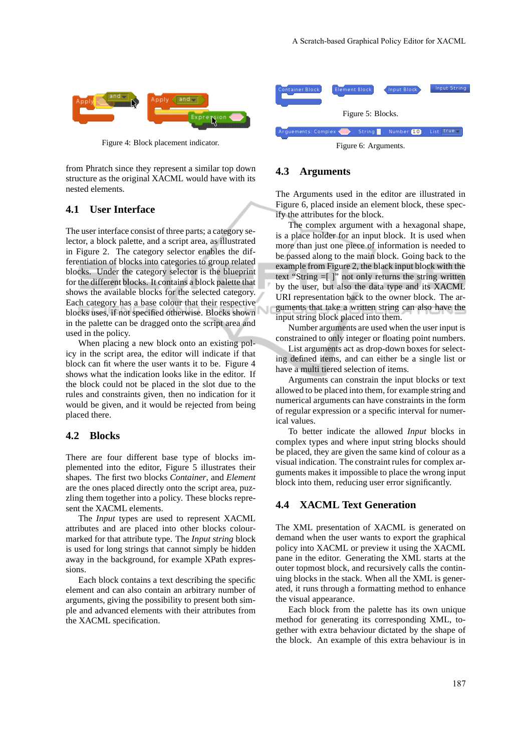

Figure 4: Block placement indicator.

from Phratch since they represent a similar top down structure as the original XACML would have with its nested elements.

## **4.1 User Interface**

The user interface consist of three parts; a category selector, a block palette, and a script area, as illustrated in Figure 2. The category selector enables the differentiation of blocks into categories to group related blocks. Under the category selector is the blueprint for the different blocks. It contains a block palette that shows the available blocks for the selected category. Each category has a base colour that their respective blocks uses, if not specified otherwise. Blocks shown in the palette can be dragged onto the script area and used in the policy.

When placing a new block onto an existing policy in the script area, the editor will indicate if that block can fit where the user wants it to be. Figure 4 shows what the indication looks like in the editor. If the block could not be placed in the slot due to the rules and constraints given, then no indication for it would be given, and it would be rejected from being placed there.

### **4.2 Blocks**

There are four different base type of blocks implemented into the editor, Figure 5 illustrates their shapes. The first two blocks *Container*, and *Element* are the ones placed directly onto the script area, puzzling them together into a policy. These blocks represent the XACML elements.

The *Input* types are used to represent XACML attributes and are placed into other blocks colourmarked for that attribute type. The *Input string* block is used for long strings that cannot simply be hidden away in the background, for example XPath expressions.

Each block contains a text describing the specific element and can also contain an arbitrary number of arguments, giving the possibility to present both simple and advanced elements with their attributes from the XACML specification.



Figure 6: Arguments.

#### **4.3 Arguments**

The Arguments used in the editor are illustrated in Figure 6, placed inside an element block, these specify the attributes for the block.

The complex argument with a hexagonal shape, is a place holder for an input block. It is used when more than just one piece of information is needed to be passed along to the main block. Going back to the example from Figure 2, the black input block with the text "String =[ ]" not only returns the string written by the user, but also the data type and its XACML URI representation back to the owner block. The arguments that take a written string can also have the input string block placed into them.

Number arguments are used when the user input is constrained to only integer or floating point numbers.

List arguments act as drop-down boxes for selecting defined items, and can either be a single list or have a multi tiered selection of items.

Arguments can constrain the input blocks or text allowed to be placed into them, for example string and numerical arguments can have constraints in the form of regular expression or a specific interval for numerical values.

To better indicate the allowed *Input* blocks in complex types and where input string blocks should be placed, they are given the same kind of colour as a visual indication. The constraint rules for complex arguments makes it impossible to place the wrong input block into them, reducing user error significantly.

## **4.4 XACML Text Generation**

The XML presentation of XACML is generated on demand when the user wants to export the graphical policy into XACML or preview it using the XACML pane in the editor. Generating the XML starts at the outer topmost block, and recursively calls the continuing blocks in the stack. When all the XML is generated, it runs through a formatting method to enhance the visual appearance.

Each block from the palette has its own unique method for generating its corresponding XML, together with extra behaviour dictated by the shape of the block. An example of this extra behaviour is in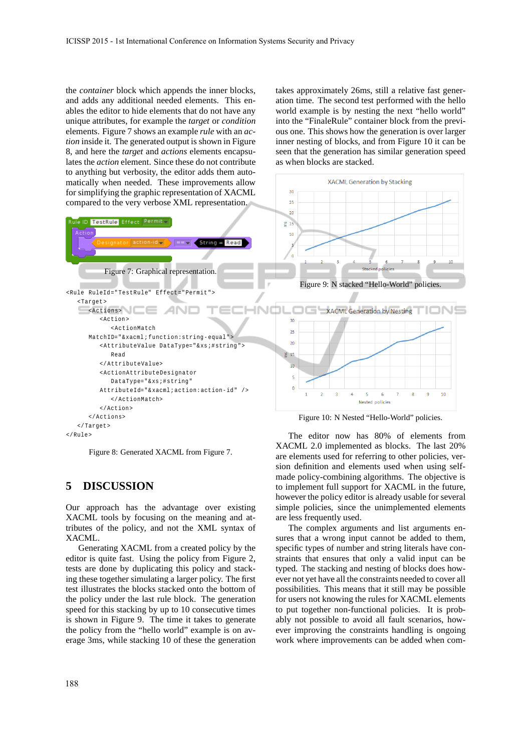the *container* block which appends the inner blocks, and adds any additional needed elements. This enables the editor to hide elements that do not have any unique attributes, for example the *target* or *condition* elements. Figure 7 shows an example *rule* with an *action* inside it. The generated output is shown in Figure 8, and here the *target* and *actions* elements encapsulates the *action* element. Since these do not contribute to anything but verbosity, the editor adds them automatically when needed. These improvements allow

takes approximately 26ms, still a relative fast generation time. The second test performed with the hello world example is by nesting the next "hello world" into the "FinaleRule" container block from the previous one. This shows how the generation is over larger inner nesting of blocks, and from Figure 10 it can be seen that the generation has similar generation speed as when blocks are stacked.



Figure 8: Generated XACML from Figure 7.

## **5 DISCUSSION**

Our approach has the advantage over existing XACML tools by focusing on the meaning and attributes of the policy, and not the XML syntax of XACML.

Generating XACML from a created policy by the editor is quite fast. Using the policy from Figure 2, tests are done by duplicating this policy and stacking these together simulating a larger policy. The first test illustrates the blocks stacked onto the bottom of the policy under the last rule block. The generation speed for this stacking by up to 10 consecutive times is shown in Figure 9. The time it takes to generate the policy from the "hello world" example is on average 3ms, while stacking 10 of these the generation

The editor now has 80% of elements from XACML 2.0 implemented as blocks. The last 20% are elements used for referring to other policies, version definition and elements used when using selfmade policy-combining algorithms. The objective is to implement full support for XACML in the future, however the policy editor is already usable for several simple policies, since the unimplemented elements

are less frequently used.

The complex arguments and list arguments ensures that a wrong input cannot be added to them, specific types of number and string literals have constraints that ensures that only a valid input can be typed. The stacking and nesting of blocks does however not yet have all the constraints needed to cover all possibilities. This means that it still may be possible for users not knowing the rules for XACML elements to put together non-functional policies. It is probably not possible to avoid all fault scenarios, however improving the constraints handling is ongoing work where improvements can be added when com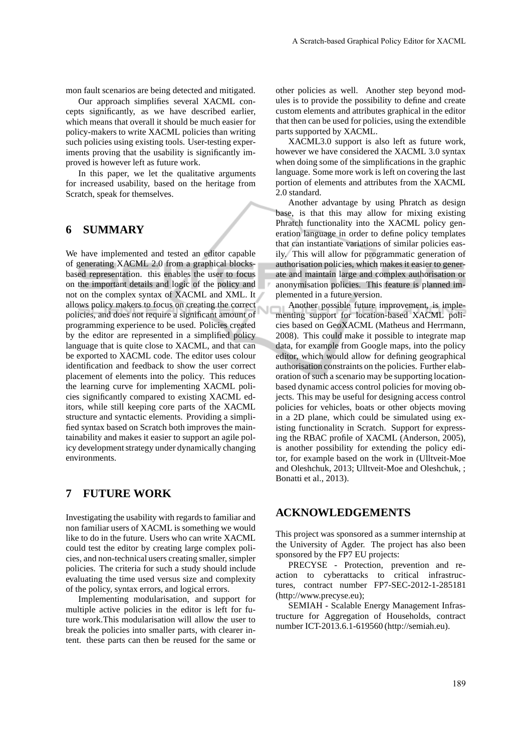mon fault scenarios are being detected and mitigated.

Our approach simplifies several XACML concepts significantly, as we have described earlier, which means that overall it should be much easier for policy-makers to write XACML policies than writing such policies using existing tools. User-testing experiments proving that the usability is significantly improved is however left as future work.

In this paper, we let the qualitative arguments for increased usability, based on the heritage from Scratch, speak for themselves.

## **6 SUMMARY**

We have implemented and tested an editor capable of generating XACML 2.0 from a graphical blocksbased representation. this enables the user to focus on the important details and logic of the policy and not on the complex syntax of XACML and XML. It allows policy makers to focus on creating the correct policies, and does not require a significant amount of programming experience to be used. Policies created by the editor are represented in a simplified policy language that is quite close to XACML, and that can be exported to XACML code. The editor uses colour identification and feedback to show the user correct placement of elements into the policy. This reduces the learning curve for implementing XACML policies significantly compared to existing XACML editors, while still keeping core parts of the XACML structure and syntactic elements. Providing a simplified syntax based on Scratch both improves the maintainability and makes it easier to support an agile policy development strategy under dynamically changing environments.

## **7 FUTURE WORK**

Investigating the usability with regards to familiar and non familiar users of XACML is something we would like to do in the future. Users who can write XACML could test the editor by creating large complex policies, and non-technical users creating smaller, simpler policies. The criteria for such a study should include evaluating the time used versus size and complexity of the policy, syntax errors, and logical errors.

Implementing modularisation, and support for multiple active policies in the editor is left for future work.This modularisation will allow the user to break the policies into smaller parts, with clearer intent. these parts can then be reused for the same or other policies as well. Another step beyond modules is to provide the possibility to define and create custom elements and attributes graphical in the editor that then can be used for policies, using the extendible parts supported by XACML.

XACML3.0 support is also left as future work, however we have considered the XACML 3.0 syntax when doing some of the simplifications in the graphic language. Some more work is left on covering the last portion of elements and attributes from the XACML 2.0 standard.

Another advantage by using Phratch as design base, is that this may allow for mixing existing Phratch functionality into the XACML policy generation language in order to define policy templates that can instantiate variations of similar policies easily. This will allow for programmatic generation of authorisation policies, which makes it easier to generate and maintain large and complex authorisation or anonymisation policies. This feature is planned implemented in a future version.

Another possible future improvement, is implementing support for location-based XACML policies based on GeoXACML (Matheus and Herrmann, 2008). This could make it possible to integrate map data, for example from Google maps, into the policy editor, which would allow for defining geographical authorisation constraints on the policies. Further elaboration of such a scenario may be supporting locationbased dynamic access control policies for moving objects. This may be useful for designing access control policies for vehicles, boats or other objects moving in a 2D plane, which could be simulated using existing functionality in Scratch. Support for expressing the RBAC profile of XACML (Anderson, 2005), is another possibility for extending the policy editor, for example based on the work in (Ulltveit-Moe and Oleshchuk, 2013; Ulltveit-Moe and Oleshchuk, ; Bonatti et al., 2013).

## **ACKNOWLEDGEMENTS**

This project was sponsored as a summer internship at the University of Agder. The project has also been sponsored by the FP7 EU projects:

PRECYSE - Protection, prevention and reaction to cyberattacks to critical infrastructures, contract number FP7-SEC-2012-1-285181 (http://www.precyse.eu);

SEMIAH - Scalable Energy Management Infrastructure for Aggregation of Households, contract number ICT-2013.6.1-619560 (http://semiah.eu).